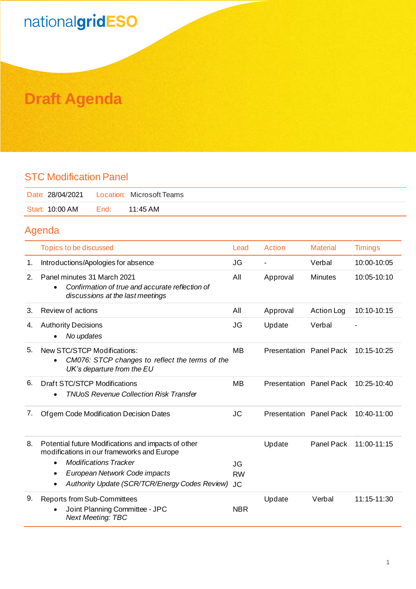## nationalgridESO

### **Draft Agenda**

#### STC Modification Panel

| Date: 28/04/2021    Location: Microsoft Teams |      |                    |
|-----------------------------------------------|------|--------------------|
| Start: 10:00 AM                               | End: | $11:45 \text{ AM}$ |

#### Agenda

|    | Topics to be discussed                                                                                                          | Lead       | Action                  | <b>Material</b>   | <b>Timings</b> |
|----|---------------------------------------------------------------------------------------------------------------------------------|------------|-------------------------|-------------------|----------------|
| 1. | Introductions/Apologies for absence                                                                                             | JG         |                         | Verbal            | 10:00-10:05    |
| 2. | Panel minutes 31 March 2021<br>Confirmation of true and accurate reflection of<br>$\bullet$<br>discussions at the last meetings | All        | Approval                | <b>Minutes</b>    | 10:05-10:10    |
| 3. | Review of actions                                                                                                               | All        | Approval                | <b>Action Log</b> | 10:10-10:15    |
| 4. | <b>Authority Decisions</b><br>No updates                                                                                        | JG         | Update                  | Verbal            |                |
| 5. | New STC/STCP Modifications:<br>CM076: STCP changes to reflect the terms of the<br>$\bullet$<br>UK's departure from the EU       | <b>MB</b>  | Presentation Panel Pack |                   | $10:15-10:25$  |
| 6. | Draft STC/STCP Modifications<br><b>TNUoS Revenue Collection Risk Transfer</b><br>$\bullet$                                      | <b>MB</b>  | Presentation Panel Pack |                   | 10:25-10:40    |
| 7. | Of gem Code Modification Decision Dates                                                                                         | <b>JC</b>  | Presentation Panel Pack |                   | 10:40-11:00    |
| 8. | Potential future Modifications and impacts of other<br>modifications in our frameworks and Europe                               |            | Update                  | Panel Pack        | 11:00-11:15    |
|    | <b>Modifications Tracker</b><br>$\bullet$                                                                                       | JG         |                         |                   |                |
|    | European Network Code impacts<br>$\bullet$                                                                                      | <b>RW</b>  |                         |                   |                |
|    | Authority Update (SCR/TCR/Energy Codes Review)                                                                                  | <b>JC</b>  |                         |                   |                |
| 9. | <b>Reports from Sub-Committees</b><br>Joint Planning Committee - JPC<br><b>Next Meeting: TBC</b>                                | <b>NBR</b> | Update                  | Verbal            | 11:15-11:30    |